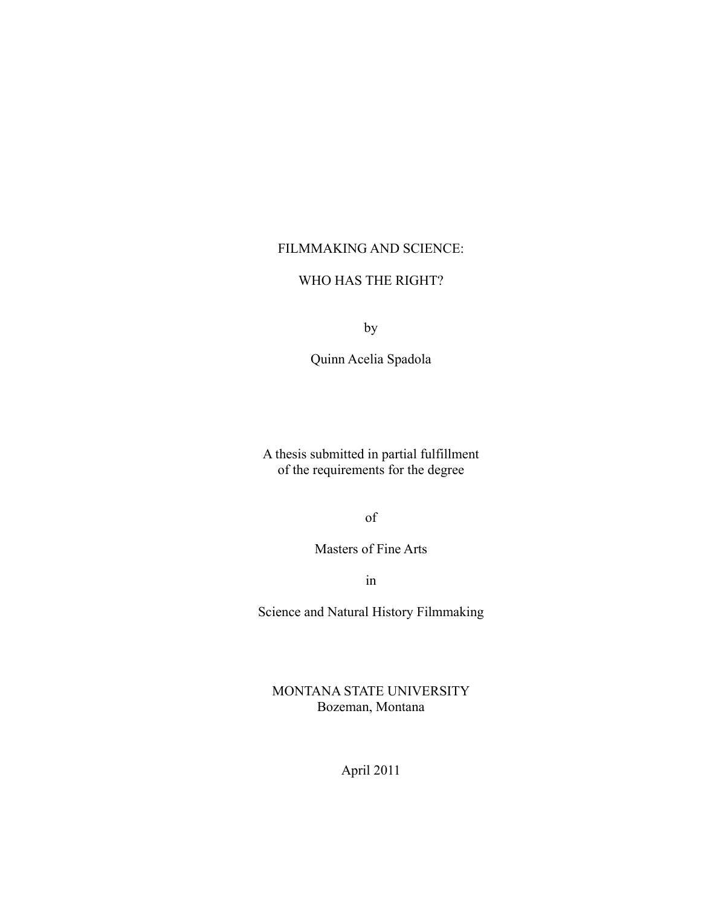# FILMMAKING AND SCIENCE:

# WHO HAS THE RIGHT?

by

Quinn Acelia Spadola

A thesis submitted in partial fulfillment of the requirements for the degree

of

Masters of Fine Arts

in

Science and Natural History Filmmaking

MONTANA STATE UNIVERSITY Bozeman, Montana

April 2011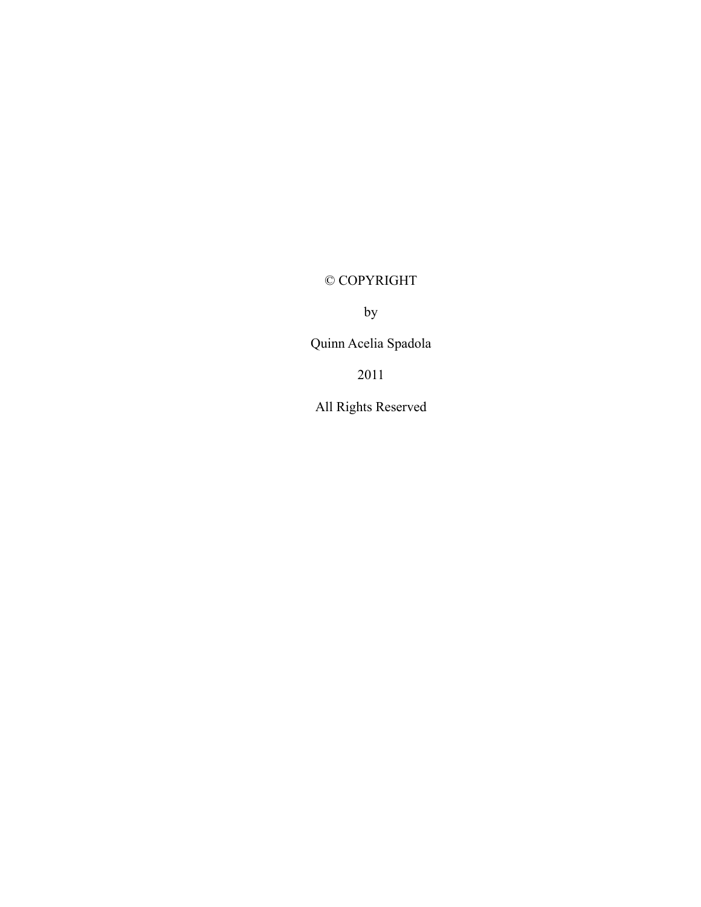# © COPYRIGHT

by

Quinn Acelia Spadola

2011

All Rights Reserved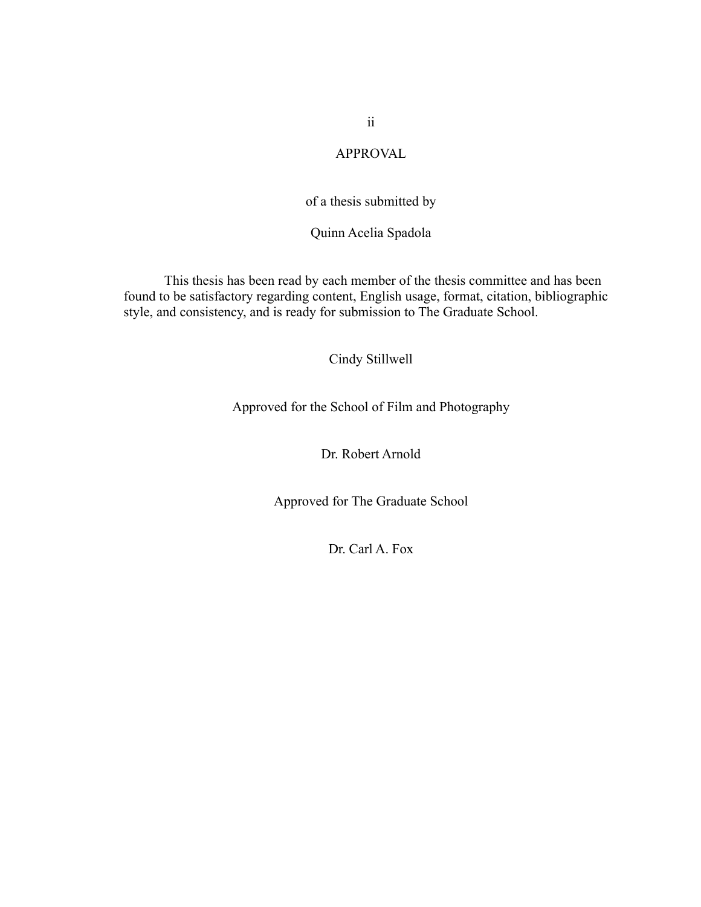APPROVAL

# of a thesis submitted by

Quinn Acelia Spadola

This thesis has been read by each member of the thesis committee and has been found to be satisfactory regarding content, English usage, format, citation, bibliographic style, and consistency, and is ready for submission to The Graduate School.

# Cindy Stillwell

Approved for the School of Film and Photography

Dr. Robert Arnold

Approved for The Graduate School

Dr. Carl A. Fox

ii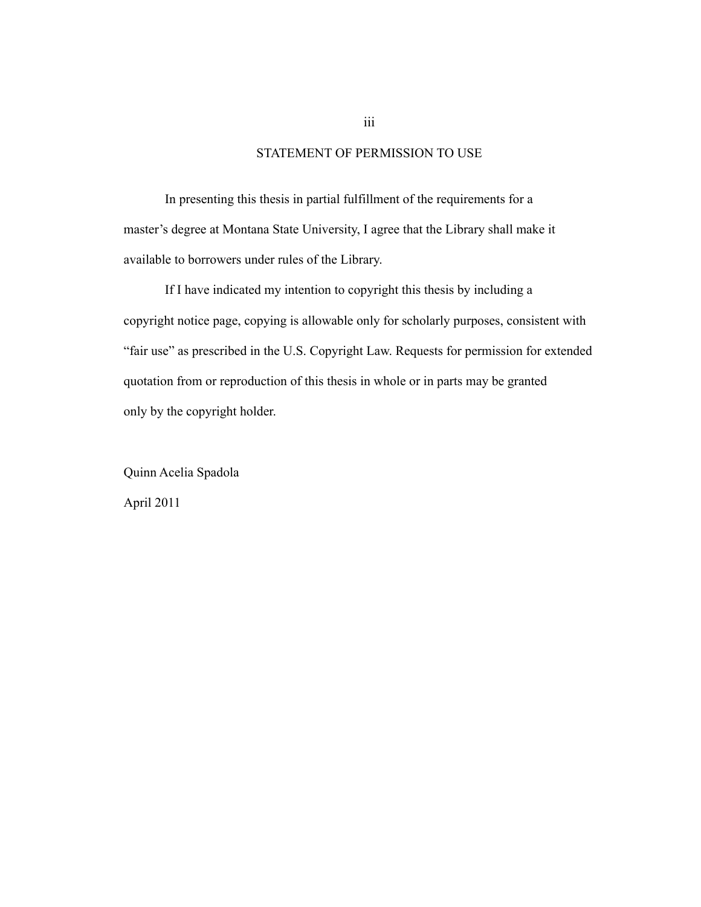## STATEMENT OF PERMISSION TO USE

In presenting this thesis in partial fulfillment of the requirements for a master's degree at Montana State University, I agree that the Library shall make it available to borrowers under rules of the Library.

If I have indicated my intention to copyright this thesis by including a copyright notice page, copying is allowable only for scholarly purposes, consistent with "fair use" as prescribed in the U.S. Copyright Law. Requests for permission for extended quotation from or reproduction of this thesis in whole or in parts may be granted only by the copyright holder.

Quinn Acelia Spadola April 2011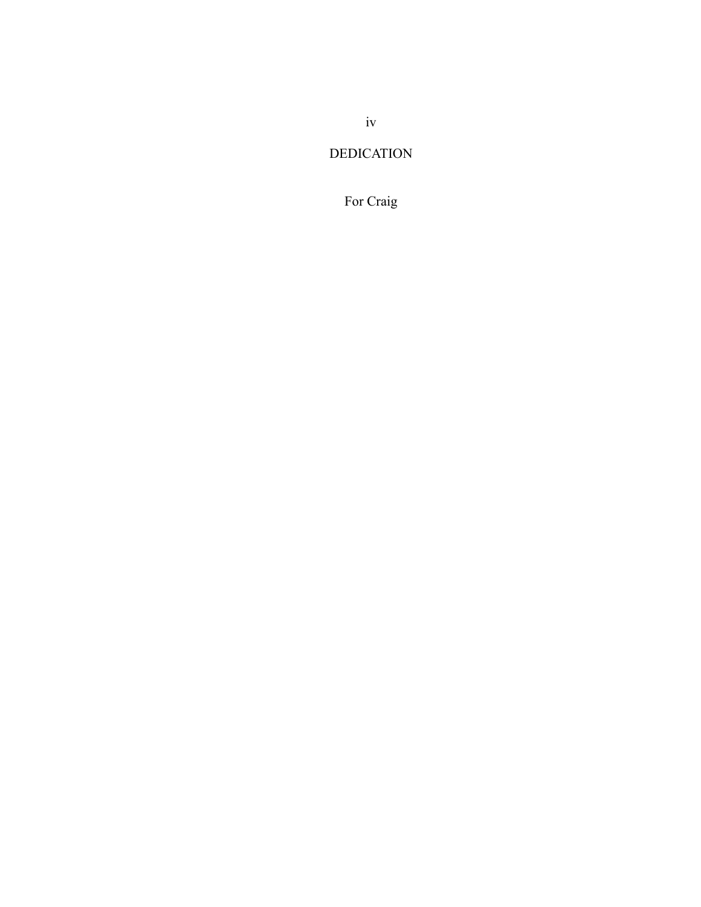# DEDICATION

# For Craig

iv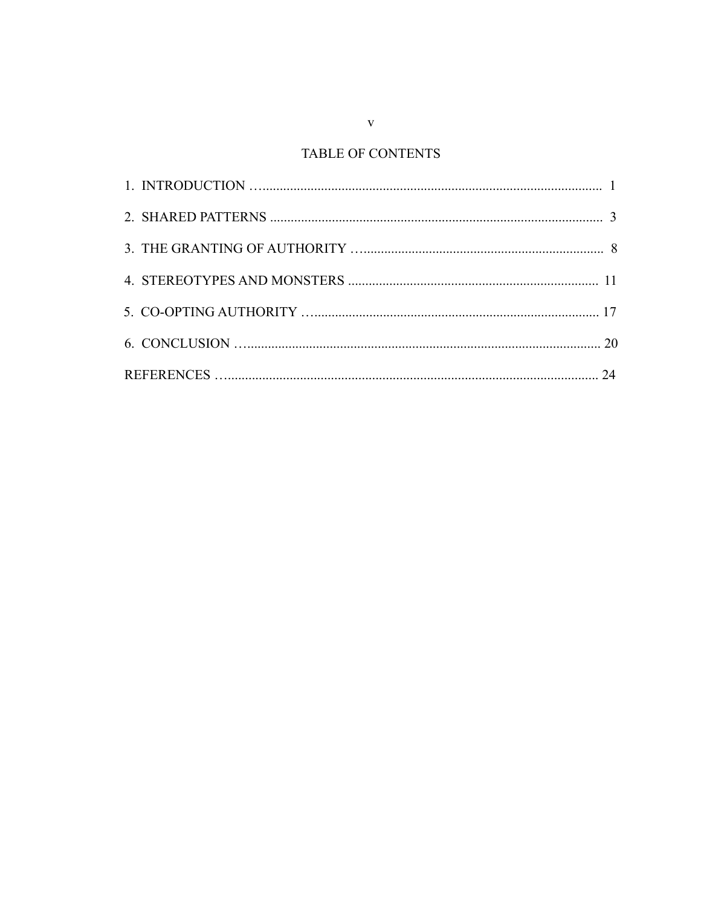# TABLE OF CONTENTS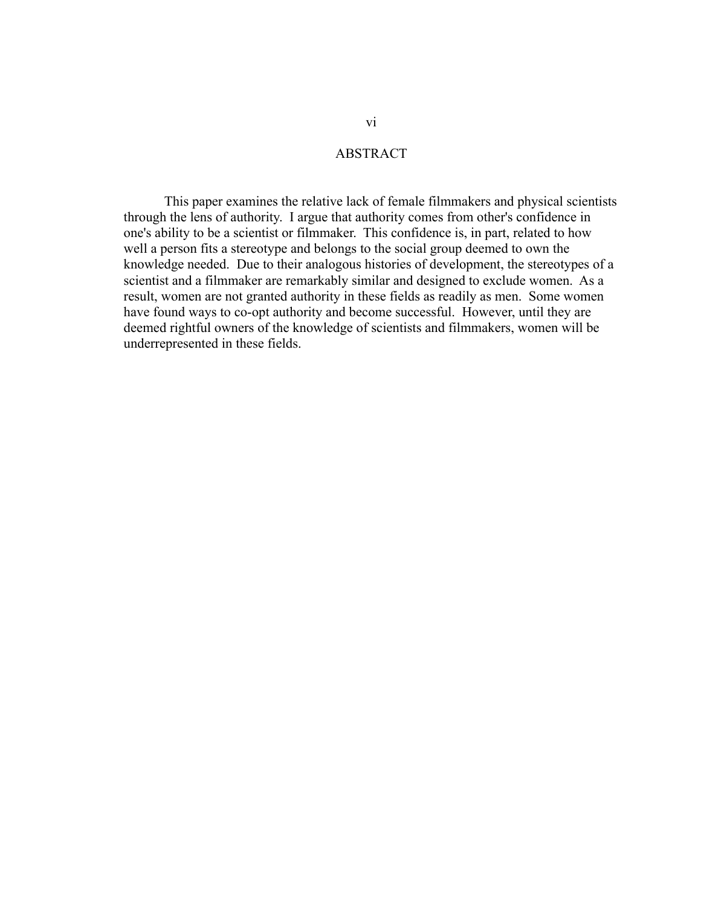### ABSTRACT

This paper examines the relative lack of female filmmakers and physical scientists through the lens of authority. I argue that authority comes from other's confidence in one's ability to be a scientist or filmmaker. This confidence is, in part, related to how well a person fits a stereotype and belongs to the social group deemed to own the knowledge needed. Due to their analogous histories of development, the stereotypes of a scientist and a filmmaker are remarkably similar and designed to exclude women. As a result, women are not granted authority in these fields as readily as men. Some women have found ways to co-opt authority and become successful. However, until they are deemed rightful owners of the knowledge of scientists and filmmakers, women will be underrepresented in these fields.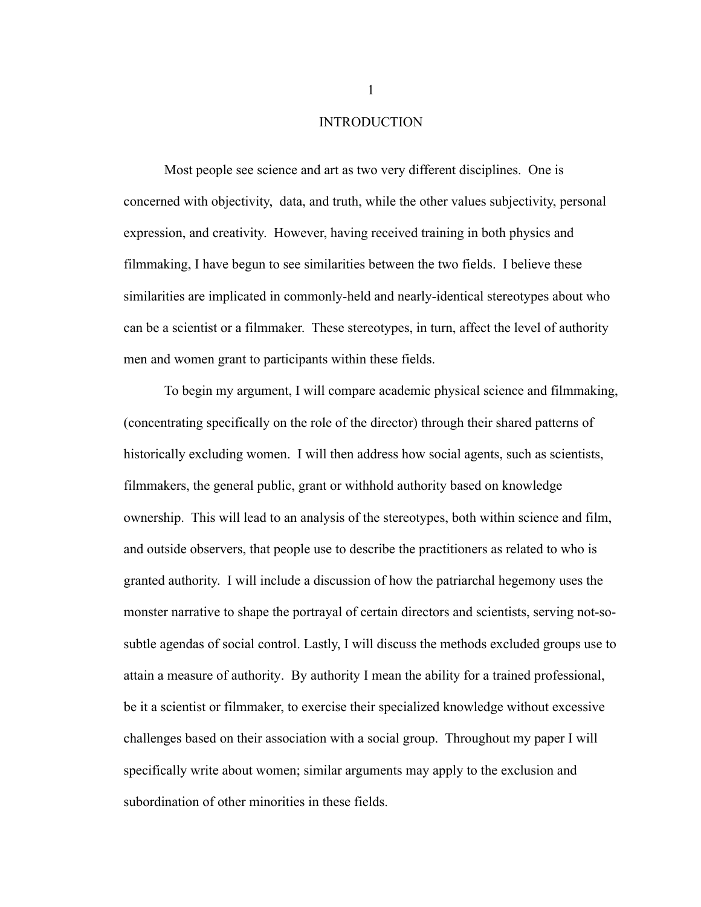### INTRODUCTION

Most people see science and art as two very different disciplines. One is concerned with objectivity, data, and truth, while the other values subjectivity, personal expression, and creativity. However, having received training in both physics and filmmaking, I have begun to see similarities between the two fields. I believe these similarities are implicated in commonly-held and nearly-identical stereotypes about who can be a scientist or a filmmaker. These stereotypes, in turn, affect the level of authority men and women grant to participants within these fields.

To begin my argument, I will compare academic physical science and filmmaking, (concentrating specifically on the role of the director) through their shared patterns of historically excluding women. I will then address how social agents, such as scientists, filmmakers, the general public, grant or withhold authority based on knowledge ownership. This will lead to an analysis of the stereotypes, both within science and film, and outside observers, that people use to describe the practitioners as related to who is granted authority. I will include a discussion of how the patriarchal hegemony uses the monster narrative to shape the portrayal of certain directors and scientists, serving not-sosubtle agendas of social control. Lastly, I will discuss the methods excluded groups use to attain a measure of authority. By authority I mean the ability for a trained professional, be it a scientist or filmmaker, to exercise their specialized knowledge without excessive challenges based on their association with a social group. Throughout my paper I will specifically write about women; similar arguments may apply to the exclusion and subordination of other minorities in these fields.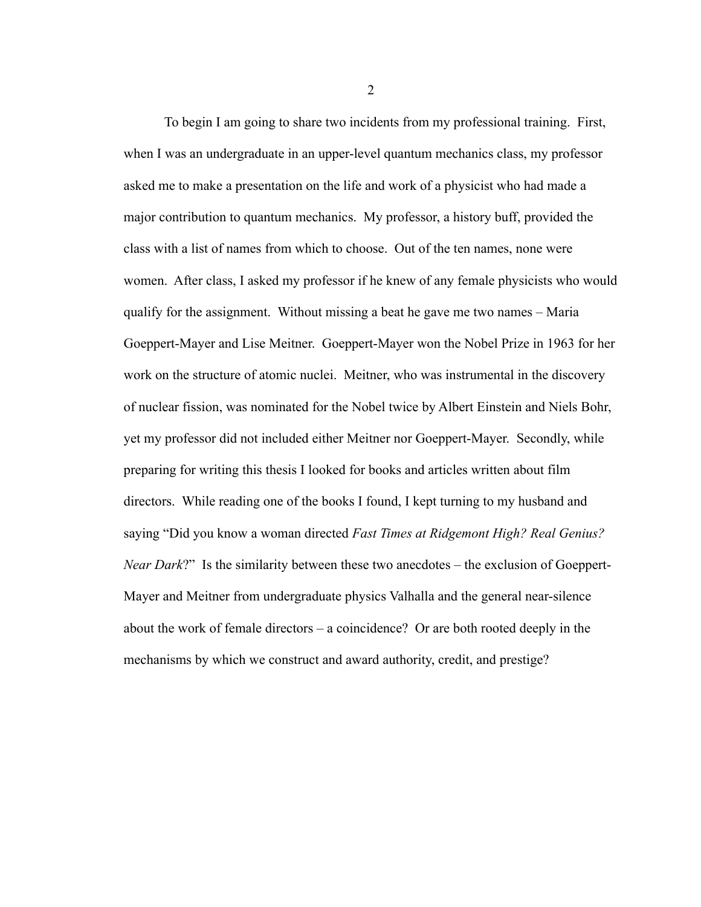To begin I am going to share two incidents from my professional training. First, when I was an undergraduate in an upper-level quantum mechanics class, my professor asked me to make a presentation on the life and work of a physicist who had made a major contribution to quantum mechanics. My professor, a history buff, provided the class with a list of names from which to choose. Out of the ten names, none were women. After class, I asked my professor if he knew of any female physicists who would qualify for the assignment. Without missing a beat he gave me two names – Maria Goeppert-Mayer and Lise Meitner. Goeppert-Mayer won the Nobel Prize in 1963 for her work on the structure of atomic nuclei. Meitner, who was instrumental in the discovery of nuclear fission, was nominated for the Nobel twice by Albert Einstein and Niels Bohr, yet my professor did not included either Meitner nor Goeppert-Mayer. Secondly, while preparing for writing this thesis I looked for books and articles written about film directors. While reading one of the books I found, I kept turning to my husband and saying "Did you know a woman directed *Fast Times at Ridgemont High? Real Genius? Near Dark*?" Is the similarity between these two anecdotes – the exclusion of Goeppert-Mayer and Meitner from undergraduate physics Valhalla and the general near-silence about the work of female directors – a coincidence? Or are both rooted deeply in the mechanisms by which we construct and award authority, credit, and prestige?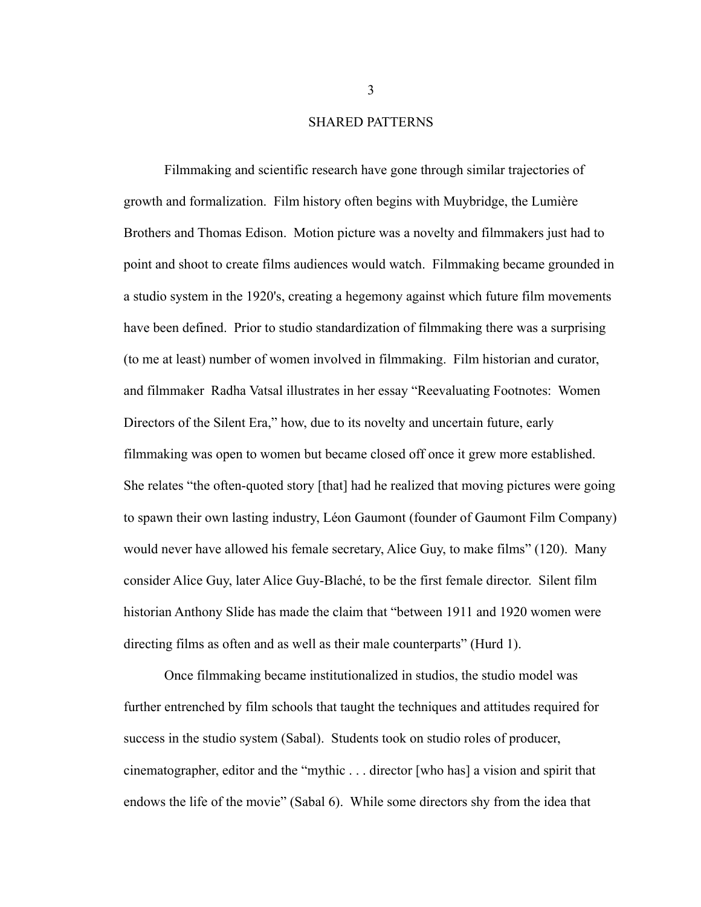#### SHARED PATTERNS

Filmmaking and scientific research have gone through similar trajectories of growth and formalization. Film history often begins with Muybridge, the Lumière Brothers and Thomas Edison. Motion picture was a novelty and filmmakers just had to point and shoot to create films audiences would watch. Filmmaking became grounded in a studio system in the 1920's, creating a hegemony against which future film movements have been defined. Prior to studio standardization of filmmaking there was a surprising (to me at least) number of women involved in filmmaking. Film historian and curator, and filmmaker Radha Vatsal illustrates in her essay "Reevaluating Footnotes: Women Directors of the Silent Era," how, due to its novelty and uncertain future, early filmmaking was open to women but became closed off once it grew more established. She relates "the often-quoted story [that] had he realized that moving pictures were going to spawn their own lasting industry, Léon Gaumont (founder of Gaumont Film Company) would never have allowed his female secretary, Alice Guy, to make films" (120). Many consider Alice Guy, later Alice Guy-Blaché, to be the first female director. Silent film historian Anthony Slide has made the claim that "between 1911 and 1920 women were directing films as often and as well as their male counterparts" (Hurd 1).

Once filmmaking became institutionalized in studios, the studio model was further entrenched by film schools that taught the techniques and attitudes required for success in the studio system (Sabal). Students took on studio roles of producer, cinematographer, editor and the "mythic . . . director [who has] a vision and spirit that endows the life of the movie" (Sabal 6). While some directors shy from the idea that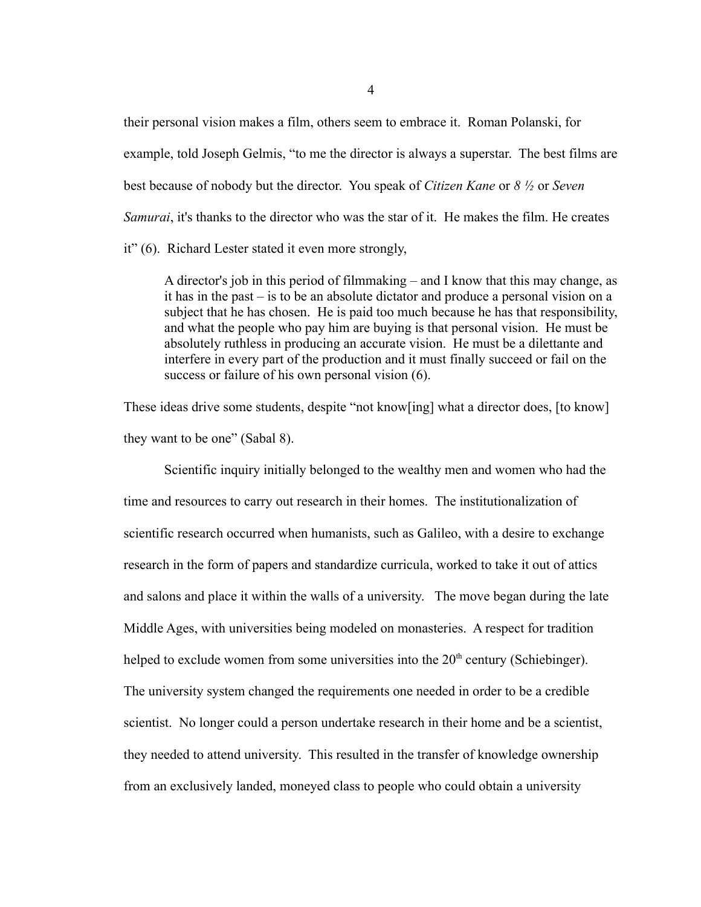their personal vision makes a film, others seem to embrace it. Roman Polanski, for example, told Joseph Gelmis, "to me the director is always a superstar. The best films are best because of nobody but the director. You speak of *Citizen Kane* or *8 ½* or *Seven Samurai*, it's thanks to the director who was the star of it. He makes the film. He creates it" (6). Richard Lester stated it even more strongly,

A director's job in this period of filmmaking – and I know that this may change, as it has in the past – is to be an absolute dictator and produce a personal vision on a subject that he has chosen. He is paid too much because he has that responsibility, and what the people who pay him are buying is that personal vision. He must be absolutely ruthless in producing an accurate vision. He must be a dilettante and interfere in every part of the production and it must finally succeed or fail on the success or failure of his own personal vision (6).

These ideas drive some students, despite "not know[ing] what a director does, [to know] they want to be one" (Sabal 8).

Scientific inquiry initially belonged to the wealthy men and women who had the time and resources to carry out research in their homes. The institutionalization of scientific research occurred when humanists, such as Galileo, with a desire to exchange research in the form of papers and standardize curricula, worked to take it out of attics and salons and place it within the walls of a university. The move began during the late Middle Ages, with universities being modeled on monasteries. A respect for tradition helped to exclude women from some universities into the  $20<sup>th</sup>$  century (Schiebinger). The university system changed the requirements one needed in order to be a credible scientist. No longer could a person undertake research in their home and be a scientist, they needed to attend university. This resulted in the transfer of knowledge ownership from an exclusively landed, moneyed class to people who could obtain a university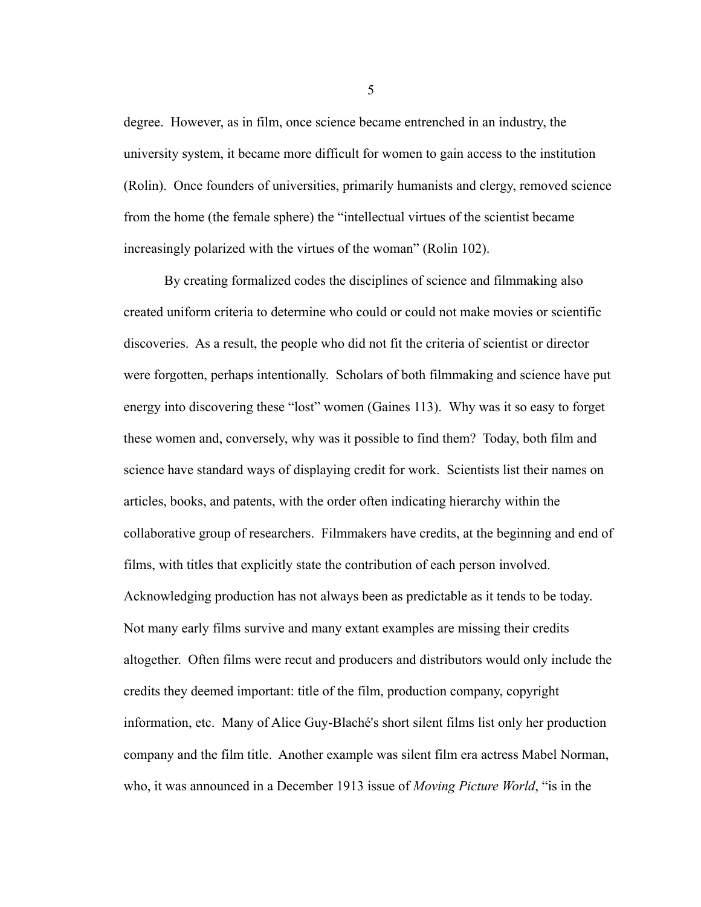degree. However, as in film, once science became entrenched in an industry, the university system, it became more difficult for women to gain access to the institution (Rolin). Once founders of universities, primarily humanists and clergy, removed science from the home (the female sphere) the "intellectual virtues of the scientist became increasingly polarized with the virtues of the woman" (Rolin 102).

By creating formalized codes the disciplines of science and filmmaking also created uniform criteria to determine who could or could not make movies or scientific discoveries. As a result, the people who did not fit the criteria of scientist or director were forgotten, perhaps intentionally. Scholars of both filmmaking and science have put energy into discovering these "lost" women (Gaines 113). Why was it so easy to forget these women and, conversely, why was it possible to find them? Today, both film and science have standard ways of displaying credit for work. Scientists list their names on articles, books, and patents, with the order often indicating hierarchy within the collaborative group of researchers. Filmmakers have credits, at the beginning and end of films, with titles that explicitly state the contribution of each person involved. Acknowledging production has not always been as predictable as it tends to be today. Not many early films survive and many extant examples are missing their credits altogether. Often films were recut and producers and distributors would only include the credits they deemed important: title of the film, production company, copyright information, etc. Many of Alice Guy-Blaché's short silent films list only her production company and the film title. Another example was silent film era actress Mabel Norman, who, it was announced in a December 1913 issue of *Moving Picture World*, "is in the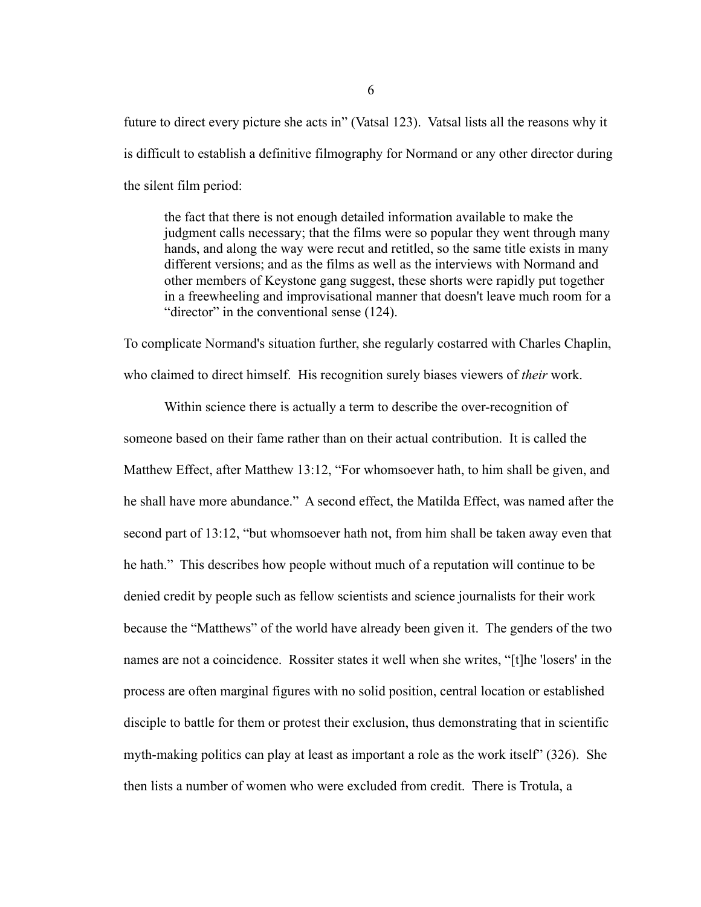future to direct every picture she acts in" (Vatsal 123). Vatsal lists all the reasons why it is difficult to establish a definitive filmography for Normand or any other director during the silent film period:

the fact that there is not enough detailed information available to make the judgment calls necessary; that the films were so popular they went through many hands, and along the way were recut and retitled, so the same title exists in many different versions; and as the films as well as the interviews with Normand and other members of Keystone gang suggest, these shorts were rapidly put together in a freewheeling and improvisational manner that doesn't leave much room for a "director" in the conventional sense (124).

To complicate Normand's situation further, she regularly costarred with Charles Chaplin, who claimed to direct himself. His recognition surely biases viewers of *their* work.

Within science there is actually a term to describe the over-recognition of someone based on their fame rather than on their actual contribution. It is called the Matthew Effect, after Matthew 13:12, "For whomsoever hath, to him shall be given, and he shall have more abundance." A second effect, the Matilda Effect, was named after the second part of 13:12, "but whomsoever hath not, from him shall be taken away even that he hath." This describes how people without much of a reputation will continue to be denied credit by people such as fellow scientists and science journalists for their work because the "Matthews" of the world have already been given it. The genders of the two names are not a coincidence. Rossiter states it well when she writes, "[t]he 'losers' in the process are often marginal figures with no solid position, central location or established disciple to battle for them or protest their exclusion, thus demonstrating that in scientific myth-making politics can play at least as important a role as the work itself" (326). She then lists a number of women who were excluded from credit. There is Trotula, a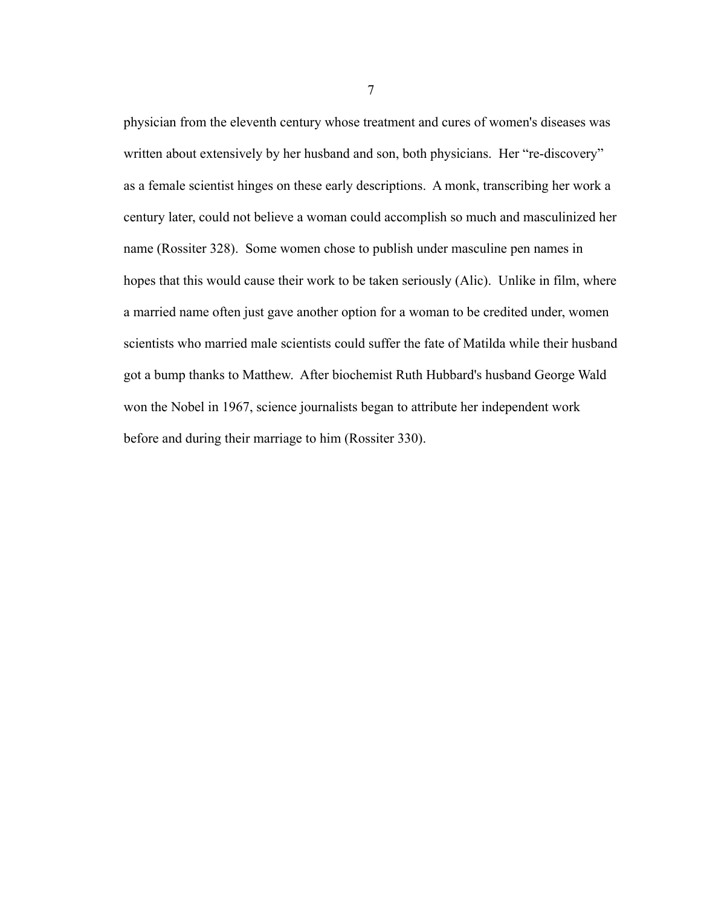physician from the eleventh century whose treatment and cures of women's diseases was written about extensively by her husband and son, both physicians. Her "re-discovery" as a female scientist hinges on these early descriptions. A monk, transcribing her work a century later, could not believe a woman could accomplish so much and masculinized her name (Rossiter 328). Some women chose to publish under masculine pen names in hopes that this would cause their work to be taken seriously (Alic). Unlike in film, where a married name often just gave another option for a woman to be credited under, women scientists who married male scientists could suffer the fate of Matilda while their husband got a bump thanks to Matthew. After biochemist Ruth Hubbard's husband George Wald won the Nobel in 1967, science journalists began to attribute her independent work before and during their marriage to him (Rossiter 330).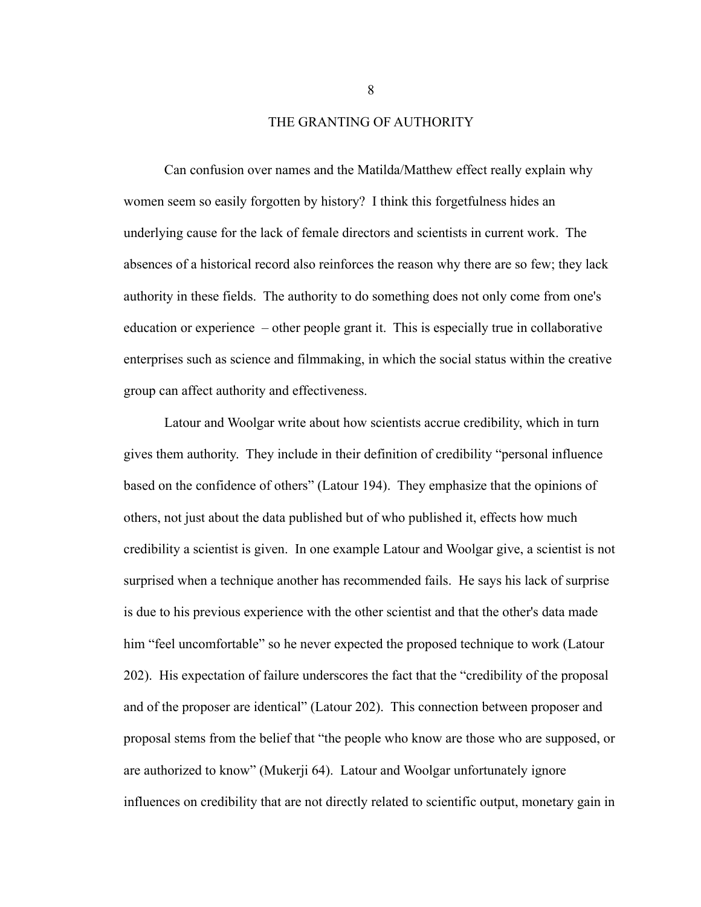#### THE GRANTING OF AUTHORITY

Can confusion over names and the Matilda/Matthew effect really explain why women seem so easily forgotten by history? I think this forgetfulness hides an underlying cause for the lack of female directors and scientists in current work. The absences of a historical record also reinforces the reason why there are so few; they lack authority in these fields. The authority to do something does not only come from one's education or experience – other people grant it. This is especially true in collaborative enterprises such as science and filmmaking, in which the social status within the creative group can affect authority and effectiveness.

Latour and Woolgar write about how scientists accrue credibility, which in turn gives them authority. They include in their definition of credibility "personal influence based on the confidence of others" (Latour 194). They emphasize that the opinions of others, not just about the data published but of who published it, effects how much credibility a scientist is given. In one example Latour and Woolgar give, a scientist is not surprised when a technique another has recommended fails. He says his lack of surprise is due to his previous experience with the other scientist and that the other's data made him "feel uncomfortable" so he never expected the proposed technique to work (Latour 202). His expectation of failure underscores the fact that the "credibility of the proposal and of the proposer are identical" (Latour 202). This connection between proposer and proposal stems from the belief that "the people who know are those who are supposed, or are authorized to know" (Mukerji 64). Latour and Woolgar unfortunately ignore influences on credibility that are not directly related to scientific output, monetary gain in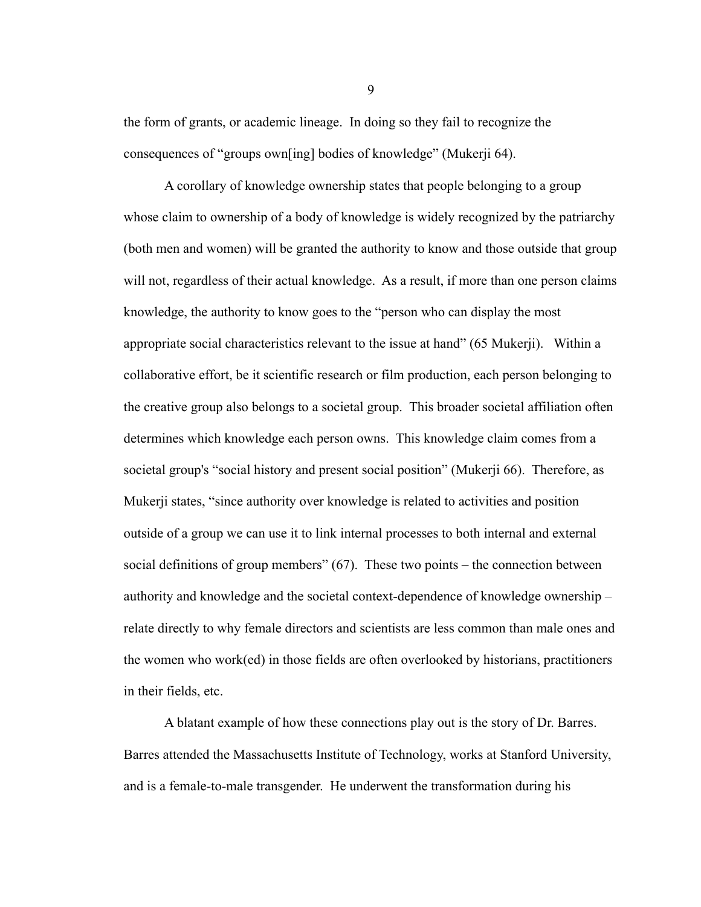the form of grants, or academic lineage. In doing so they fail to recognize the consequences of "groups own[ing] bodies of knowledge" (Mukerji 64).

A corollary of knowledge ownership states that people belonging to a group whose claim to ownership of a body of knowledge is widely recognized by the patriarchy (both men and women) will be granted the authority to know and those outside that group will not, regardless of their actual knowledge. As a result, if more than one person claims knowledge, the authority to know goes to the "person who can display the most appropriate social characteristics relevant to the issue at hand" (65 Mukerji). Within a collaborative effort, be it scientific research or film production, each person belonging to the creative group also belongs to a societal group. This broader societal affiliation often determines which knowledge each person owns. This knowledge claim comes from a societal group's "social history and present social position" (Mukerji 66). Therefore, as Mukerji states, "since authority over knowledge is related to activities and position outside of a group we can use it to link internal processes to both internal and external social definitions of group members" (67). These two points – the connection between authority and knowledge and the societal context-dependence of knowledge ownership – relate directly to why female directors and scientists are less common than male ones and the women who work(ed) in those fields are often overlooked by historians, practitioners in their fields, etc.

A blatant example of how these connections play out is the story of Dr. Barres. Barres attended the Massachusetts Institute of Technology, works at Stanford University, and is a female-to-male transgender. He underwent the transformation during his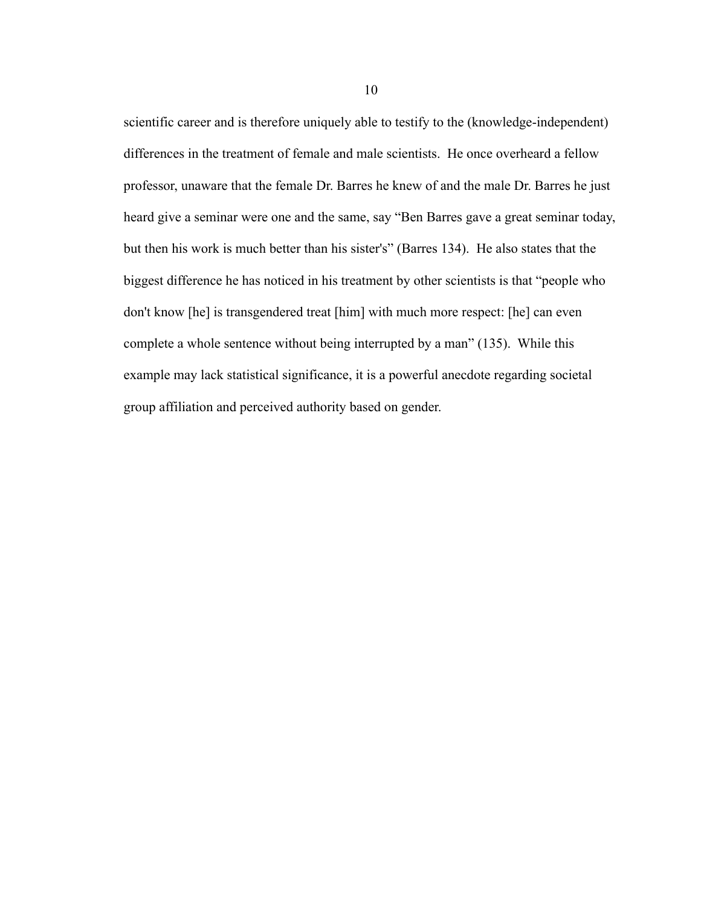scientific career and is therefore uniquely able to testify to the (knowledge-independent) differences in the treatment of female and male scientists. He once overheard a fellow professor, unaware that the female Dr. Barres he knew of and the male Dr. Barres he just heard give a seminar were one and the same, say "Ben Barres gave a great seminar today, but then his work is much better than his sister's" (Barres 134). He also states that the biggest difference he has noticed in his treatment by other scientists is that "people who don't know [he] is transgendered treat [him] with much more respect: [he] can even complete a whole sentence without being interrupted by a man" (135). While this example may lack statistical significance, it is a powerful anecdote regarding societal group affiliation and perceived authority based on gender.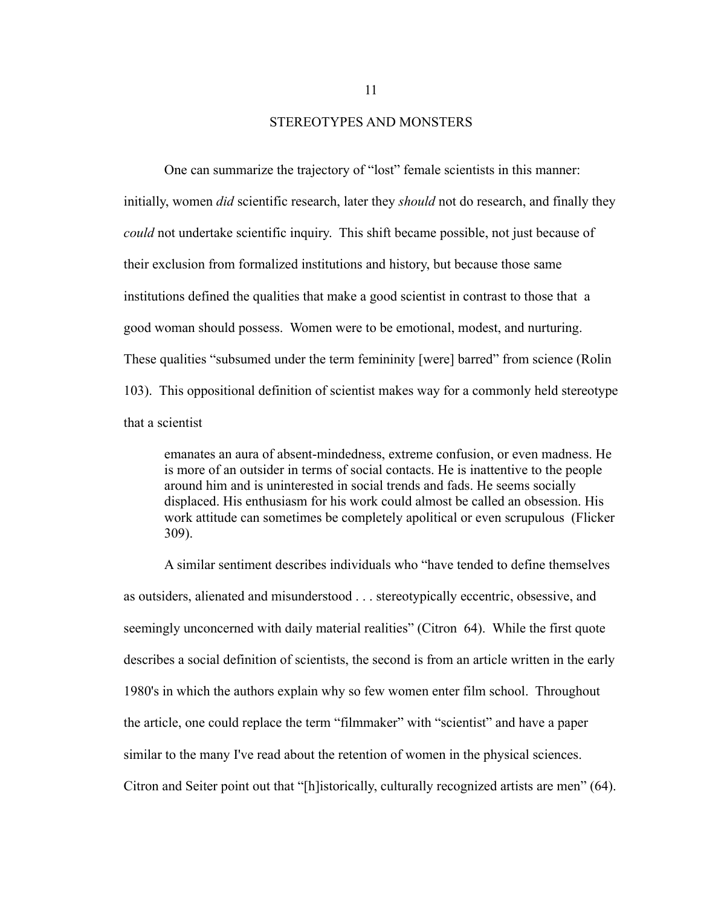#### STEREOTYPES AND MONSTERS

One can summarize the trajectory of "lost" female scientists in this manner: initially, women *did* scientific research, later they *should* not do research, and finally they *could* not undertake scientific inquiry. This shift became possible, not just because of their exclusion from formalized institutions and history, but because those same institutions defined the qualities that make a good scientist in contrast to those that a good woman should possess. Women were to be emotional, modest, and nurturing. These qualities "subsumed under the term femininity [were] barred" from science (Rolin 103). This oppositional definition of scientist makes way for a commonly held stereotype that a scientist

emanates an aura of absent-mindedness, extreme confusion, or even madness. He is more of an outsider in terms of social contacts. He is inattentive to the people around him and is uninterested in social trends and fads. He seems socially displaced. His enthusiasm for his work could almost be called an obsession. His work attitude can sometimes be completely apolitical or even scrupulous (Flicker 309).

A similar sentiment describes individuals who "have tended to define themselves as outsiders, alienated and misunderstood . . . stereotypically eccentric, obsessive, and seemingly unconcerned with daily material realities" (Citron 64). While the first quote describes a social definition of scientists, the second is from an article written in the early 1980's in which the authors explain why so few women enter film school. Throughout the article, one could replace the term "filmmaker" with "scientist" and have a paper similar to the many I've read about the retention of women in the physical sciences. Citron and Seiter point out that "[h]istorically, culturally recognized artists are men" (64).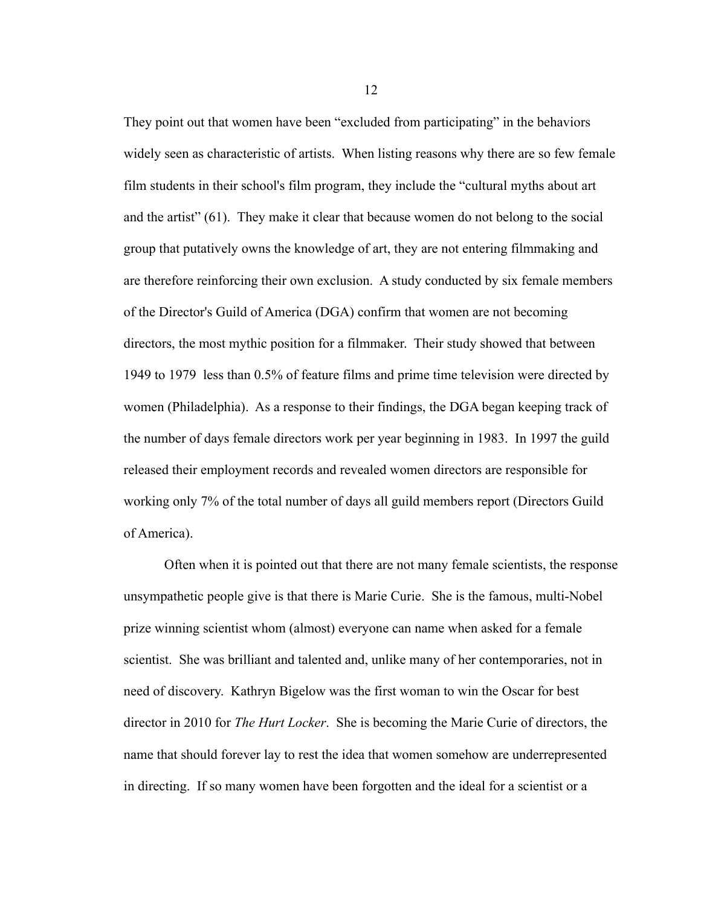They point out that women have been "excluded from participating" in the behaviors widely seen as characteristic of artists. When listing reasons why there are so few female film students in their school's film program, they include the "cultural myths about art and the artist" (61). They make it clear that because women do not belong to the social group that putatively owns the knowledge of art, they are not entering filmmaking and are therefore reinforcing their own exclusion. A study conducted by six female members of the Director's Guild of America (DGA) confirm that women are not becoming directors, the most mythic position for a filmmaker. Their study showed that between 1949 to 1979 less than 0.5% of feature films and prime time television were directed by women (Philadelphia). As a response to their findings, the DGA began keeping track of the number of days female directors work per year beginning in 1983. In 1997 the guild released their employment records and revealed women directors are responsible for working only 7% of the total number of days all guild members report (Directors Guild of America).

Often when it is pointed out that there are not many female scientists, the response unsympathetic people give is that there is Marie Curie. She is the famous, multi-Nobel prize winning scientist whom (almost) everyone can name when asked for a female scientist. She was brilliant and talented and, unlike many of her contemporaries, not in need of discovery. Kathryn Bigelow was the first woman to win the Oscar for best director in 2010 for *The Hurt Locker*. She is becoming the Marie Curie of directors, the name that should forever lay to rest the idea that women somehow are underrepresented in directing. If so many women have been forgotten and the ideal for a scientist or a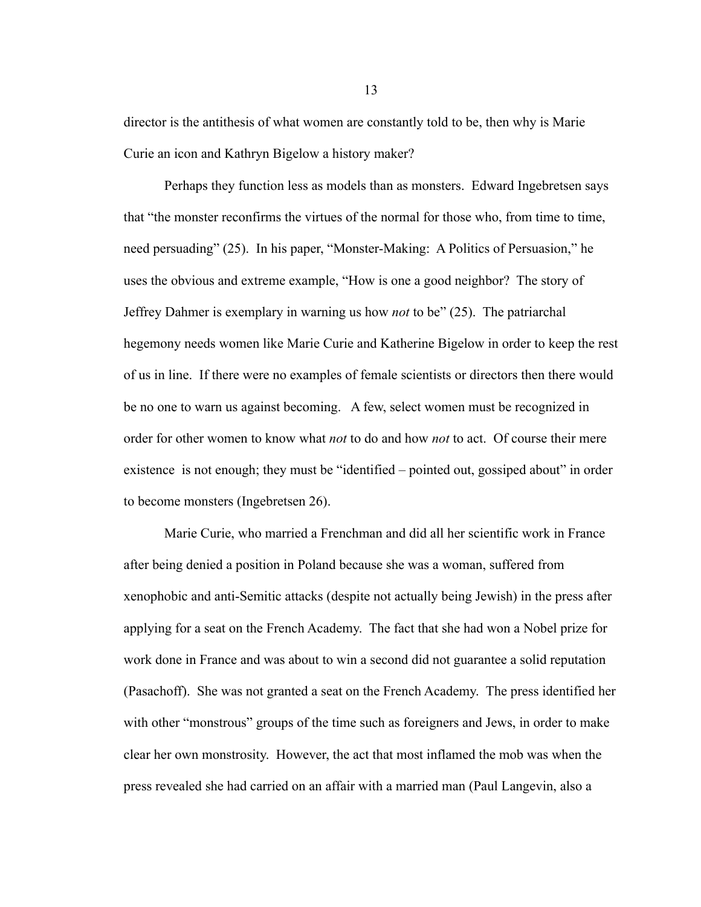director is the antithesis of what women are constantly told to be, then why is Marie Curie an icon and Kathryn Bigelow a history maker?

Perhaps they function less as models than as monsters. Edward Ingebretsen says that "the monster reconfirms the virtues of the normal for those who, from time to time, need persuading" (25). In his paper, "Monster-Making: A Politics of Persuasion," he uses the obvious and extreme example, "How is one a good neighbor? The story of Jeffrey Dahmer is exemplary in warning us how *not* to be" (25). The patriarchal hegemony needs women like Marie Curie and Katherine Bigelow in order to keep the rest of us in line. If there were no examples of female scientists or directors then there would be no one to warn us against becoming. A few, select women must be recognized in order for other women to know what *not* to do and how *not* to act. Of course their mere existence is not enough; they must be "identified – pointed out, gossiped about" in order to become monsters (Ingebretsen 26).

Marie Curie, who married a Frenchman and did all her scientific work in France after being denied a position in Poland because she was a woman, suffered from xenophobic and anti-Semitic attacks (despite not actually being Jewish) in the press after applying for a seat on the French Academy. The fact that she had won a Nobel prize for work done in France and was about to win a second did not guarantee a solid reputation (Pasachoff). She was not granted a seat on the French Academy. The press identified her with other "monstrous" groups of the time such as foreigners and Jews, in order to make clear her own monstrosity. However, the act that most inflamed the mob was when the press revealed she had carried on an affair with a married man (Paul Langevin, also a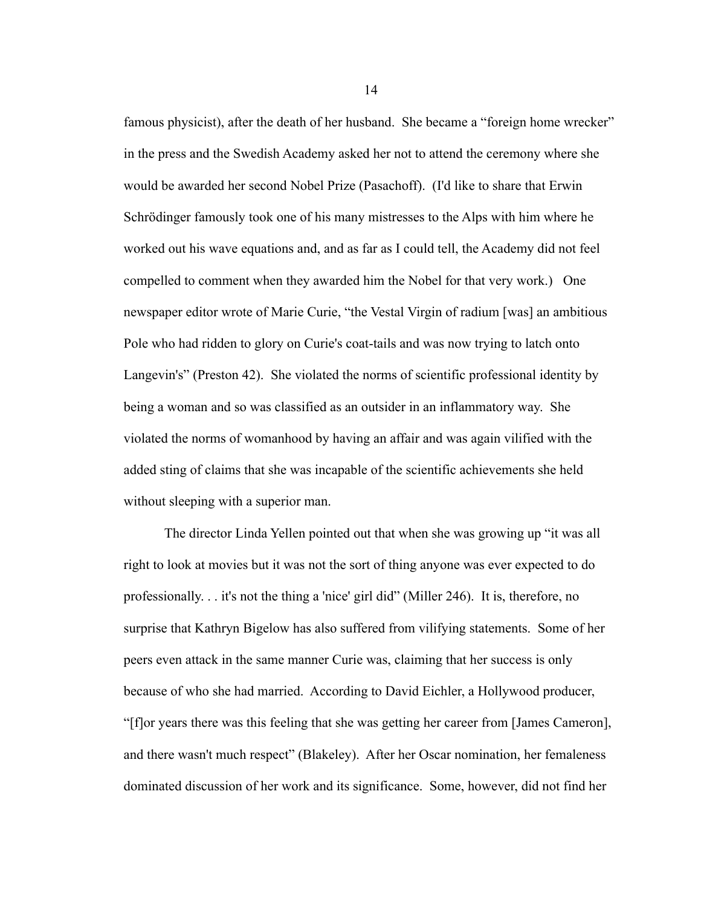famous physicist), after the death of her husband. She became a "foreign home wrecker" in the press and the Swedish Academy asked her not to attend the ceremony where she would be awarded her second Nobel Prize (Pasachoff). (I'd like to share that Erwin Schrödinger famously took one of his many mistresses to the Alps with him where he worked out his wave equations and, and as far as I could tell, the Academy did not feel compelled to comment when they awarded him the Nobel for that very work.) One newspaper editor wrote of Marie Curie, "the Vestal Virgin of radium [was] an ambitious Pole who had ridden to glory on Curie's coat-tails and was now trying to latch onto Langevin's" (Preston 42). She violated the norms of scientific professional identity by being a woman and so was classified as an outsider in an inflammatory way. She violated the norms of womanhood by having an affair and was again vilified with the added sting of claims that she was incapable of the scientific achievements she held without sleeping with a superior man.

The director Linda Yellen pointed out that when she was growing up "it was all right to look at movies but it was not the sort of thing anyone was ever expected to do professionally. . . it's not the thing a 'nice' girl did" (Miller 246). It is, therefore, no surprise that Kathryn Bigelow has also suffered from vilifying statements. Some of her peers even attack in the same manner Curie was, claiming that her success is only because of who she had married. According to David Eichler, a Hollywood producer, "[f]or years there was this feeling that she was getting her career from [James Cameron], and there wasn't much respect" (Blakeley). After her Oscar nomination, her femaleness dominated discussion of her work and its significance. Some, however, did not find her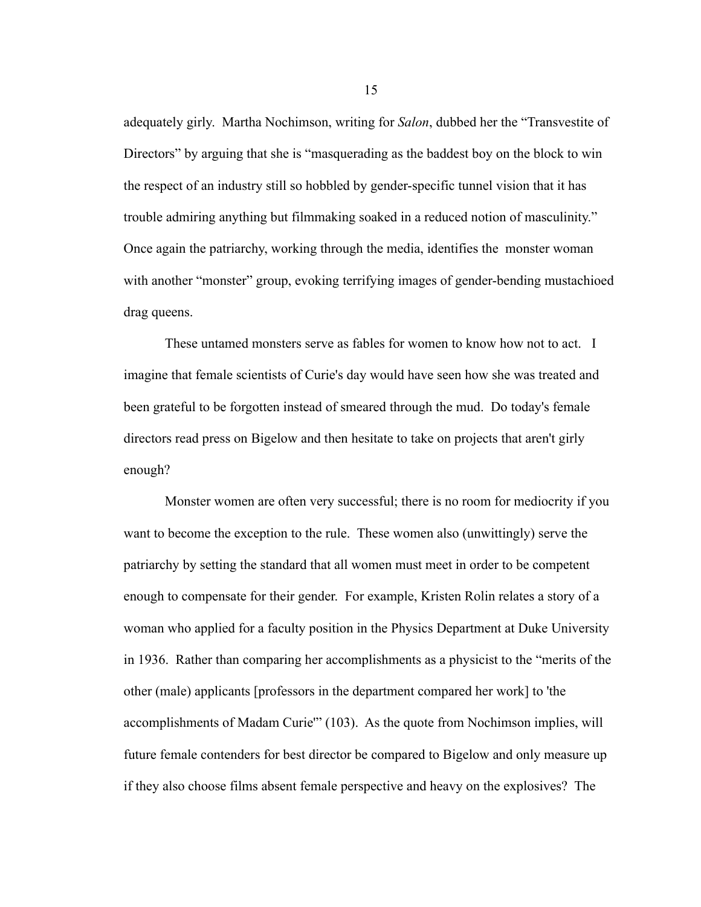adequately girly. Martha Nochimson, writing for *Salon*, dubbed her the "Transvestite of Directors" by arguing that she is "masquerading as the baddest boy on the block to win the respect of an industry still so hobbled by gender-specific tunnel vision that it has trouble admiring anything but filmmaking soaked in a reduced notion of masculinity." Once again the patriarchy, working through the media, identifies the monster woman with another "monster" group, evoking terrifying images of gender-bending mustachioed drag queens.

These untamed monsters serve as fables for women to know how not to act. I imagine that female scientists of Curie's day would have seen how she was treated and been grateful to be forgotten instead of smeared through the mud. Do today's female directors read press on Bigelow and then hesitate to take on projects that aren't girly enough?

Monster women are often very successful; there is no room for mediocrity if you want to become the exception to the rule. These women also (unwittingly) serve the patriarchy by setting the standard that all women must meet in order to be competent enough to compensate for their gender. For example, Kristen Rolin relates a story of a woman who applied for a faculty position in the Physics Department at Duke University in 1936. Rather than comparing her accomplishments as a physicist to the "merits of the other (male) applicants [professors in the department compared her work] to 'the accomplishments of Madam Curie'" (103). As the quote from Nochimson implies, will future female contenders for best director be compared to Bigelow and only measure up if they also choose films absent female perspective and heavy on the explosives? The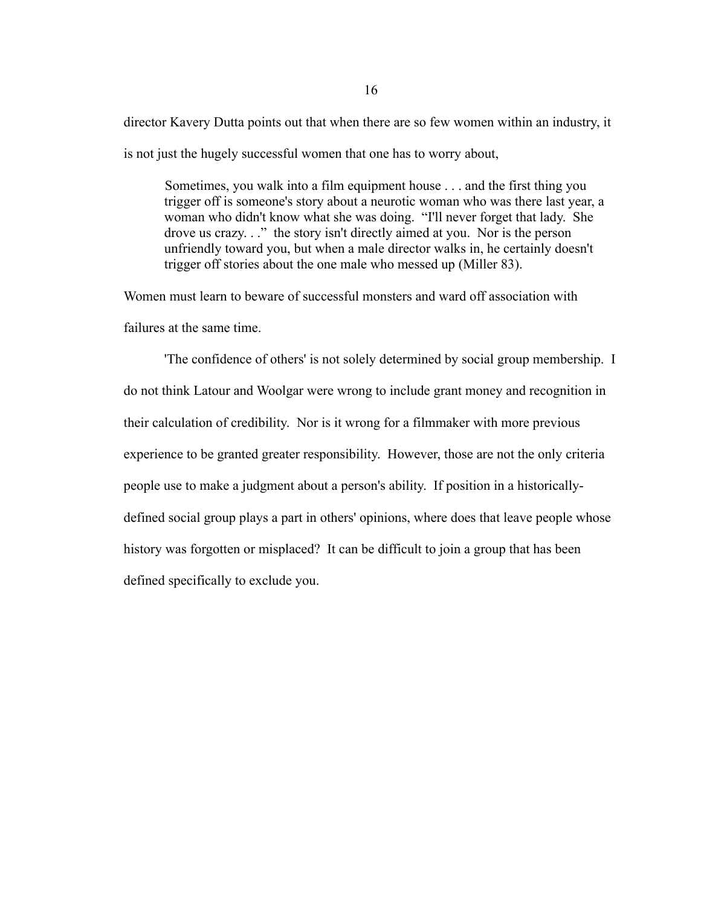director Kavery Dutta points out that when there are so few women within an industry, it is not just the hugely successful women that one has to worry about,

Sometimes, you walk into a film equipment house . . . and the first thing you trigger off is someone's story about a neurotic woman who was there last year, a woman who didn't know what she was doing. "I'll never forget that lady. She drove us crazy. . ." the story isn't directly aimed at you. Nor is the person unfriendly toward you, but when a male director walks in, he certainly doesn't trigger off stories about the one male who messed up (Miller 83).

Women must learn to beware of successful monsters and ward off association with

failures at the same time.

'The confidence of others' is not solely determined by social group membership. I do not think Latour and Woolgar were wrong to include grant money and recognition in their calculation of credibility. Nor is it wrong for a filmmaker with more previous experience to be granted greater responsibility. However, those are not the only criteria people use to make a judgment about a person's ability. If position in a historicallydefined social group plays a part in others' opinions, where does that leave people whose history was forgotten or misplaced? It can be difficult to join a group that has been defined specifically to exclude you.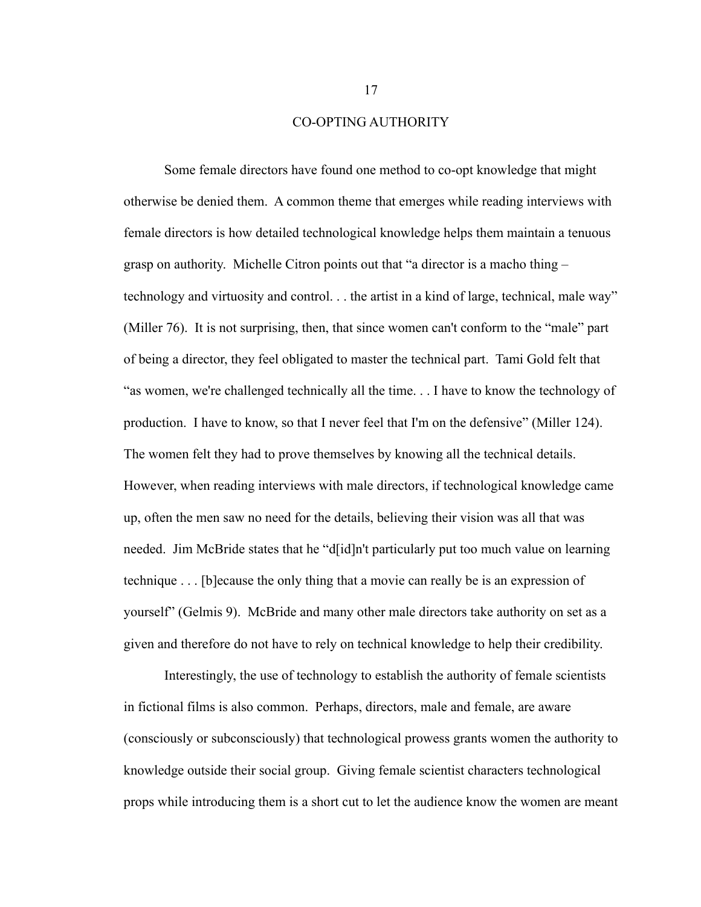#### CO-OPTING AUTHORITY

Some female directors have found one method to co-opt knowledge that might otherwise be denied them. A common theme that emerges while reading interviews with female directors is how detailed technological knowledge helps them maintain a tenuous grasp on authority. Michelle Citron points out that "a director is a macho thing – technology and virtuosity and control. . . the artist in a kind of large, technical, male way" (Miller 76). It is not surprising, then, that since women can't conform to the "male" part of being a director, they feel obligated to master the technical part. Tami Gold felt that "as women, we're challenged technically all the time. . . I have to know the technology of production. I have to know, so that I never feel that I'm on the defensive" (Miller 124). The women felt they had to prove themselves by knowing all the technical details. However, when reading interviews with male directors, if technological knowledge came up, often the men saw no need for the details, believing their vision was all that was needed. Jim McBride states that he "d[id]n't particularly put too much value on learning technique . . . [b]ecause the only thing that a movie can really be is an expression of yourself" (Gelmis 9). McBride and many other male directors take authority on set as a given and therefore do not have to rely on technical knowledge to help their credibility.

Interestingly, the use of technology to establish the authority of female scientists in fictional films is also common. Perhaps, directors, male and female, are aware (consciously or subconsciously) that technological prowess grants women the authority to knowledge outside their social group. Giving female scientist characters technological props while introducing them is a short cut to let the audience know the women are meant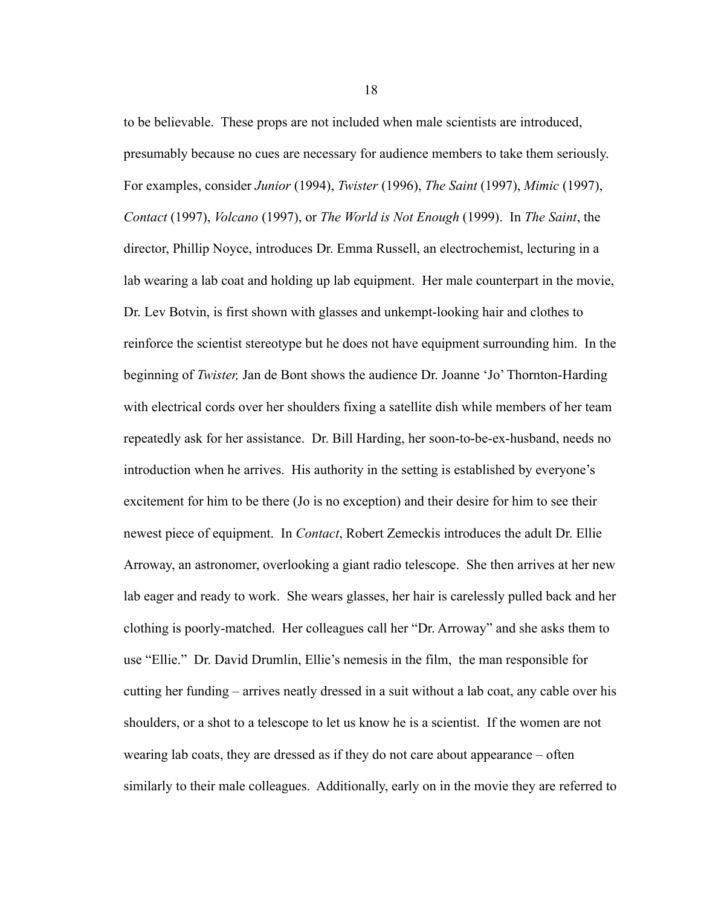to be believable. These props are not included when male scientists are introduced, presumably because no cues are necessary for audience members to take them seriously. For examples, consider *Junior* (1994), *Twister* (1996), *The Saint* (1997), *Mimic* (1997), *Contact* (1997), *Volcano* (1997), or *The World is Not Enough* (1999). In *The Saint*, the director, Phillip Noyce, introduces Dr. Emma Russell, an electrochemist, lecturing in a lab wearing a lab coat and holding up lab equipment. Her male counterpart in the movie, Dr. Lev Botvin, is first shown with glasses and unkempt-looking hair and clothes to reinforce the scientist stereotype but he does not have equipment surrounding him. In the beginning of *Twister,* Jan de Bont shows the audience Dr. Joanne 'Jo' Thornton-Harding with electrical cords over her shoulders fixing a satellite dish while members of her team repeatedly ask for her assistance. Dr. Bill Harding, her soon-to-be-ex-husband, needs no introduction when he arrives. His authority in the setting is established by everyone's excitement for him to be there (Jo is no exception) and their desire for him to see their newest piece of equipment. In *Contact*, Robert Zemeckis introduces the adult Dr. Ellie Arroway, an astronomer, overlooking a giant radio telescope. She then arrives at her new lab eager and ready to work. She wears glasses, her hair is carelessly pulled back and her clothing is poorly-matched. Her colleagues call her "Dr. Arroway" and she asks them to use "Ellie." Dr. David Drumlin, Ellie's nemesis in the film, the man responsible for cutting her funding – arrives neatly dressed in a suit without a lab coat, any cable over his shoulders, or a shot to a telescope to let us know he is a scientist. If the women are not wearing lab coats, they are dressed as if they do not care about appearance – often similarly to their male colleagues. Additionally, early on in the movie they are referred to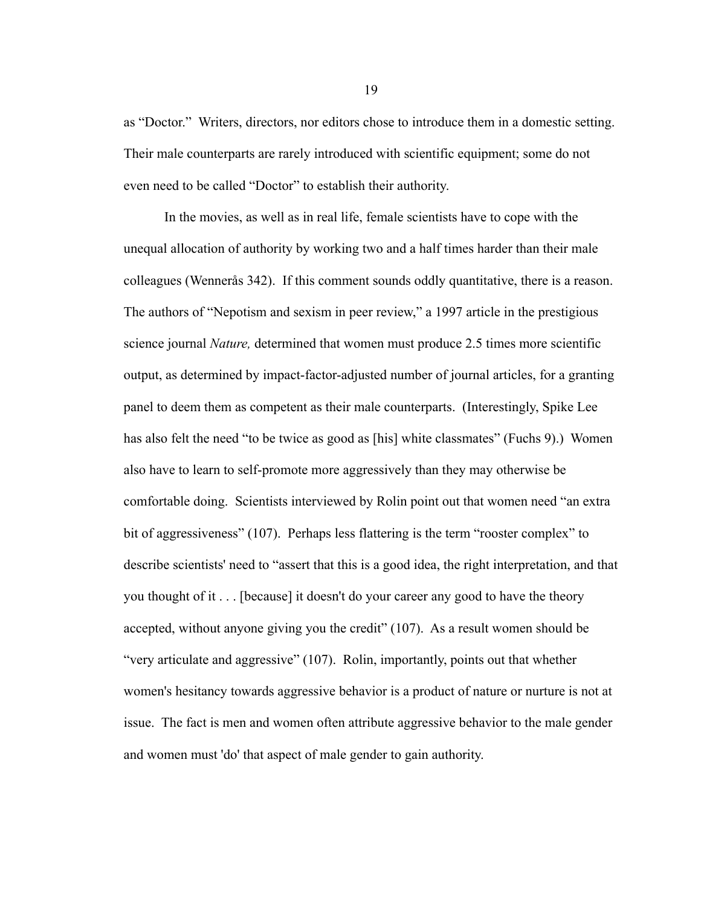as "Doctor." Writers, directors, nor editors chose to introduce them in a domestic setting. Their male counterparts are rarely introduced with scientific equipment; some do not even need to be called "Doctor" to establish their authority.

In the movies, as well as in real life, female scientists have to cope with the unequal allocation of authority by working two and a half times harder than their male colleagues (Wennerås 342). If this comment sounds oddly quantitative, there is a reason. The authors of "Nepotism and sexism in peer review," a 1997 article in the prestigious science journal *Nature,* determined that women must produce 2.5 times more scientific output, as determined by impact-factor-adjusted number of journal articles, for a granting panel to deem them as competent as their male counterparts. (Interestingly, Spike Lee has also felt the need "to be twice as good as [his] white classmates" (Fuchs 9).) Women also have to learn to self-promote more aggressively than they may otherwise be comfortable doing. Scientists interviewed by Rolin point out that women need "an extra bit of aggressiveness" (107). Perhaps less flattering is the term "rooster complex" to describe scientists' need to "assert that this is a good idea, the right interpretation, and that you thought of it . . . [because] it doesn't do your career any good to have the theory accepted, without anyone giving you the credit" (107). As a result women should be "very articulate and aggressive" (107). Rolin, importantly, points out that whether women's hesitancy towards aggressive behavior is a product of nature or nurture is not at issue. The fact is men and women often attribute aggressive behavior to the male gender and women must 'do' that aspect of male gender to gain authority.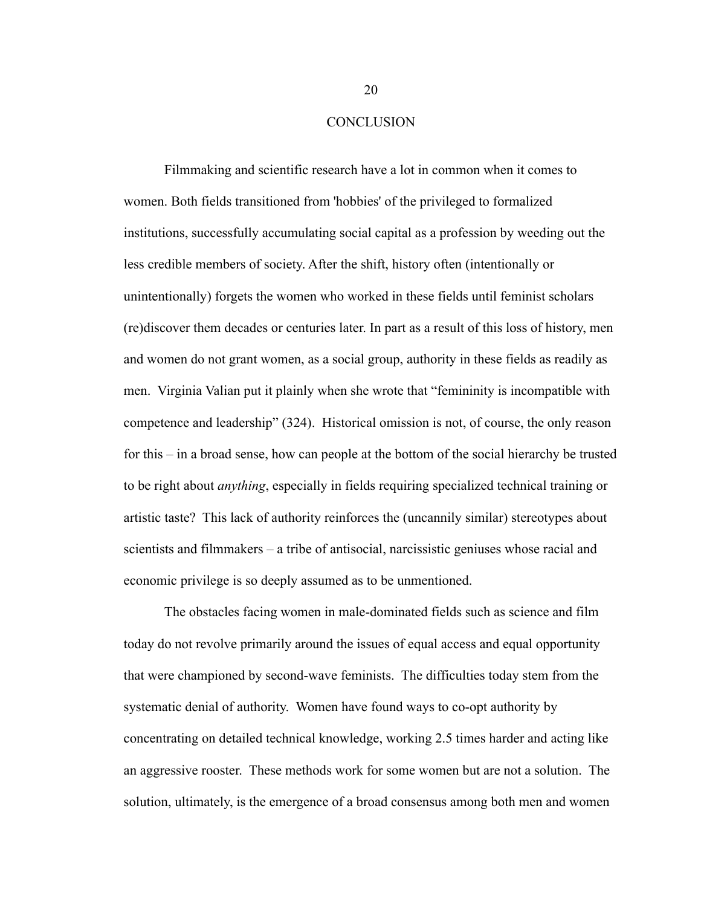#### **CONCLUSION**

Filmmaking and scientific research have a lot in common when it comes to women. Both fields transitioned from 'hobbies' of the privileged to formalized institutions, successfully accumulating social capital as a profession by weeding out the less credible members of society. After the shift, history often (intentionally or unintentionally) forgets the women who worked in these fields until feminist scholars (re)discover them decades or centuries later. In part as a result of this loss of history, men and women do not grant women, as a social group, authority in these fields as readily as men. Virginia Valian put it plainly when she wrote that "femininity is incompatible with competence and leadership" (324). Historical omission is not, of course, the only reason for this – in a broad sense, how can people at the bottom of the social hierarchy be trusted to be right about *anything*, especially in fields requiring specialized technical training or artistic taste? This lack of authority reinforces the (uncannily similar) stereotypes about scientists and filmmakers – a tribe of antisocial, narcissistic geniuses whose racial and economic privilege is so deeply assumed as to be unmentioned.

The obstacles facing women in male-dominated fields such as science and film today do not revolve primarily around the issues of equal access and equal opportunity that were championed by second-wave feminists. The difficulties today stem from the systematic denial of authority. Women have found ways to co-opt authority by concentrating on detailed technical knowledge, working 2.5 times harder and acting like an aggressive rooster. These methods work for some women but are not a solution. The solution, ultimately, is the emergence of a broad consensus among both men and women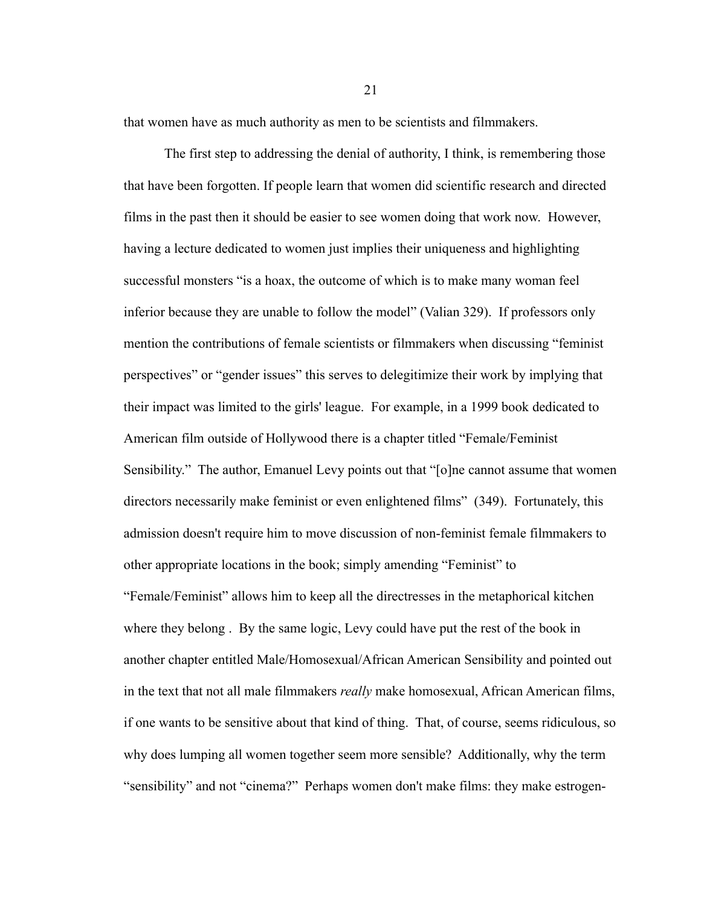that women have as much authority as men to be scientists and filmmakers.

The first step to addressing the denial of authority, I think, is remembering those that have been forgotten. If people learn that women did scientific research and directed films in the past then it should be easier to see women doing that work now. However, having a lecture dedicated to women just implies their uniqueness and highlighting successful monsters "is a hoax, the outcome of which is to make many woman feel inferior because they are unable to follow the model" (Valian 329). If professors only mention the contributions of female scientists or filmmakers when discussing "feminist perspectives" or "gender issues" this serves to delegitimize their work by implying that their impact was limited to the girls' league. For example, in a 1999 book dedicated to American film outside of Hollywood there is a chapter titled "Female/Feminist Sensibility." The author, Emanuel Levy points out that "[o]ne cannot assume that women directors necessarily make feminist or even enlightened films" (349). Fortunately, this admission doesn't require him to move discussion of non-feminist female filmmakers to other appropriate locations in the book; simply amending "Feminist" to "Female/Feminist" allows him to keep all the directresses in the metaphorical kitchen where they belong . By the same logic, Levy could have put the rest of the book in another chapter entitled Male/Homosexual/African American Sensibility and pointed out in the text that not all male filmmakers *really* make homosexual, African American films, if one wants to be sensitive about that kind of thing. That, of course, seems ridiculous, so why does lumping all women together seem more sensible? Additionally, why the term "sensibility" and not "cinema?" Perhaps women don't make films: they make estrogen-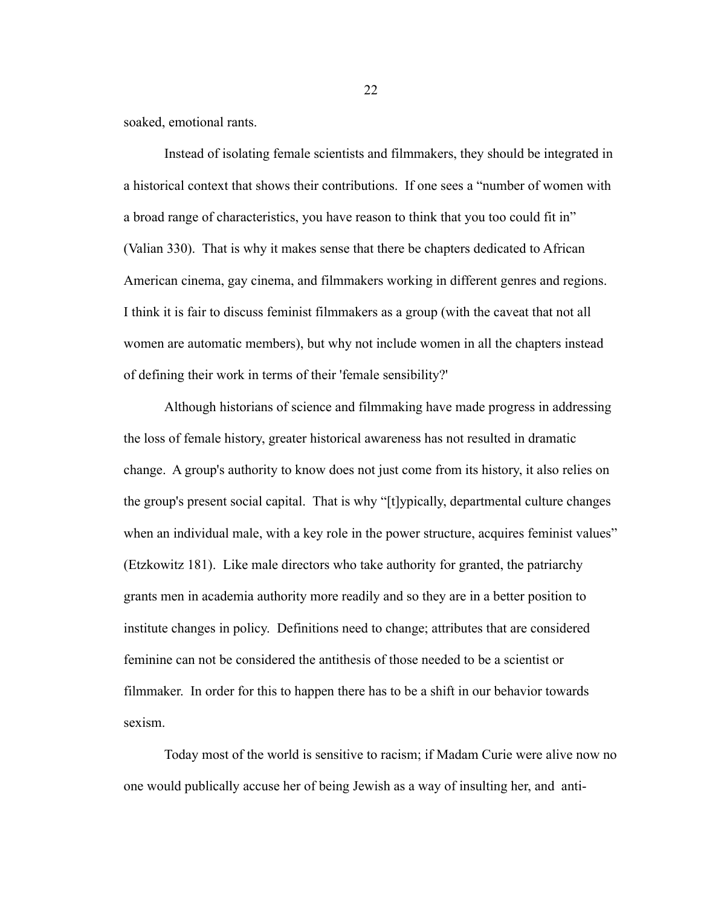soaked, emotional rants.

Instead of isolating female scientists and filmmakers, they should be integrated in a historical context that shows their contributions. If one sees a "number of women with a broad range of characteristics, you have reason to think that you too could fit in" (Valian 330). That is why it makes sense that there be chapters dedicated to African American cinema, gay cinema, and filmmakers working in different genres and regions. I think it is fair to discuss feminist filmmakers as a group (with the caveat that not all women are automatic members), but why not include women in all the chapters instead of defining their work in terms of their 'female sensibility?'

Although historians of science and filmmaking have made progress in addressing the loss of female history, greater historical awareness has not resulted in dramatic change. A group's authority to know does not just come from its history, it also relies on the group's present social capital. That is why "[t]ypically, departmental culture changes when an individual male, with a key role in the power structure, acquires feminist values" (Etzkowitz 181). Like male directors who take authority for granted, the patriarchy grants men in academia authority more readily and so they are in a better position to institute changes in policy. Definitions need to change; attributes that are considered feminine can not be considered the antithesis of those needed to be a scientist or filmmaker. In order for this to happen there has to be a shift in our behavior towards sexism.

Today most of the world is sensitive to racism; if Madam Curie were alive now no one would publically accuse her of being Jewish as a way of insulting her, and anti-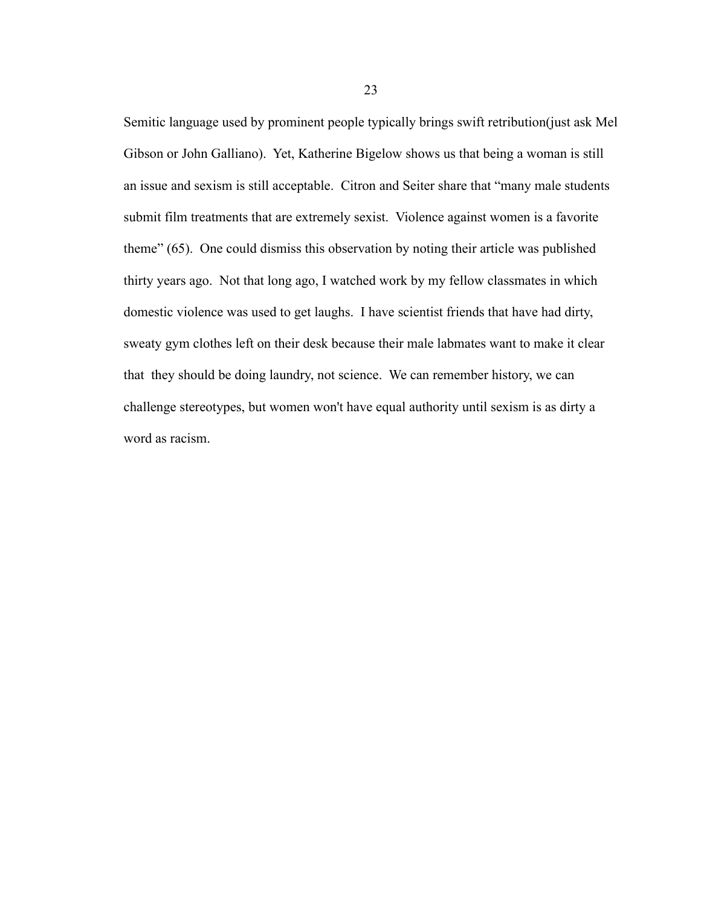Semitic language used by prominent people typically brings swift retribution(just ask Mel Gibson or John Galliano). Yet, Katherine Bigelow shows us that being a woman is still an issue and sexism is still acceptable. Citron and Seiter share that "many male students submit film treatments that are extremely sexist. Violence against women is a favorite theme" (65). One could dismiss this observation by noting their article was published thirty years ago. Not that long ago, I watched work by my fellow classmates in which domestic violence was used to get laughs. I have scientist friends that have had dirty, sweaty gym clothes left on their desk because their male labmates want to make it clear that they should be doing laundry, not science. We can remember history, we can challenge stereotypes, but women won't have equal authority until sexism is as dirty a word as racism.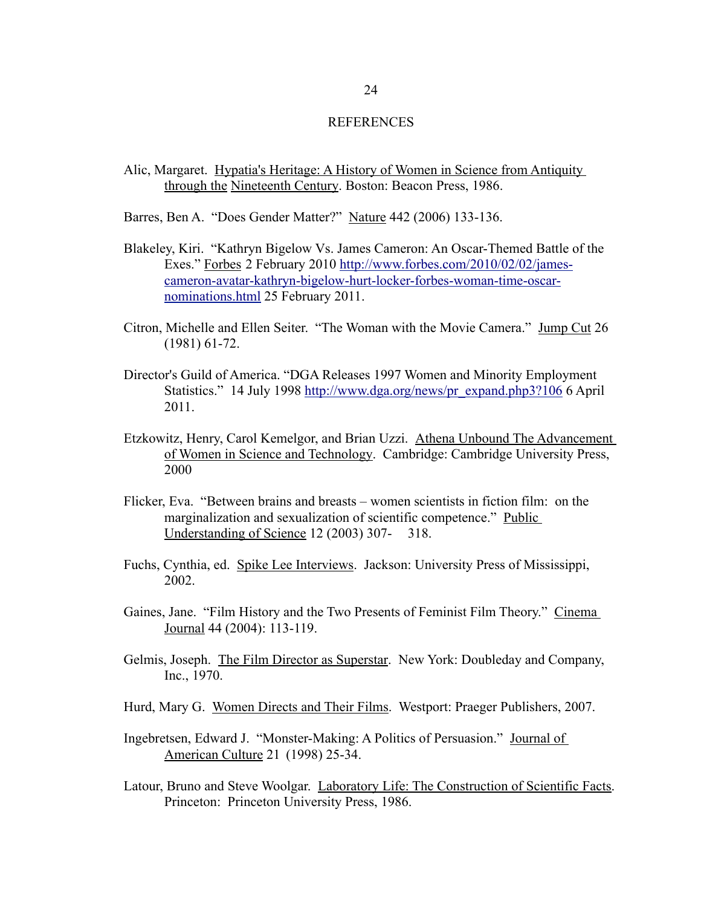#### **REFERENCES**

- Alic, Margaret. Hypatia's Heritage: A History of Women in Science from Antiquity through the Nineteenth Century. Boston: Beacon Press, 1986.
- Barres, Ben A. "Does Gender Matter?" Nature 442 (2006) 133-136.
- Blakeley, Kiri. "Kathryn Bigelow Vs. James Cameron: An Oscar-Themed Battle of the Exes." Forbes 2 February 2010 http://www.forbes.com/2010/02/02/james cameron-avatar-kathryn-bigelow- hurt-locker-forbes-woman-time-oscarnominations.html 25 February 2011.
- Citron, Michelle and Ellen Seiter. "The Woman with the Movie Camera." Jump Cut 26 (1981) 61-72.
- Director's Guild of America. "DGA Releases 1997 Women and Minority Employment Statistics." 14 July 1998 http://www.dga.org/news/pr\_expand.php3?106 6 April 2011.
- Etzkowitz, Henry, Carol Kemelgor, and Brian Uzzi. Athena Unbound The Advancement of Women in Science and Technology. Cambridge: Cambridge University Press, 2000
- Flicker, Eva. "Between brains and breasts women scientists in fiction film: on the marginalization and sexualization of scientific competence." Public Understanding of Science 12 (2003) 307- 318.
- Fuchs, Cynthia, ed. Spike Lee Interviews. Jackson: University Press of Mississippi, 2002.
- Gaines, Jane. "Film History and the Two Presents of Feminist Film Theory." Cinema Journal 44 (2004): 113-119.
- Gelmis, Joseph. The Film Director as Superstar. New York: Doubleday and Company, Inc., 1970.
- Hurd, Mary G. Women Directs and Their Films. Westport: Praeger Publishers, 2007.
- Ingebretsen, Edward J. "Monster-Making: A Politics of Persuasion." Journal of American Culture 21 (1998) 25-34.
- Latour, Bruno and Steve Woolgar. Laboratory Life: The Construction of Scientific Facts. Princeton: Princeton University Press, 1986.